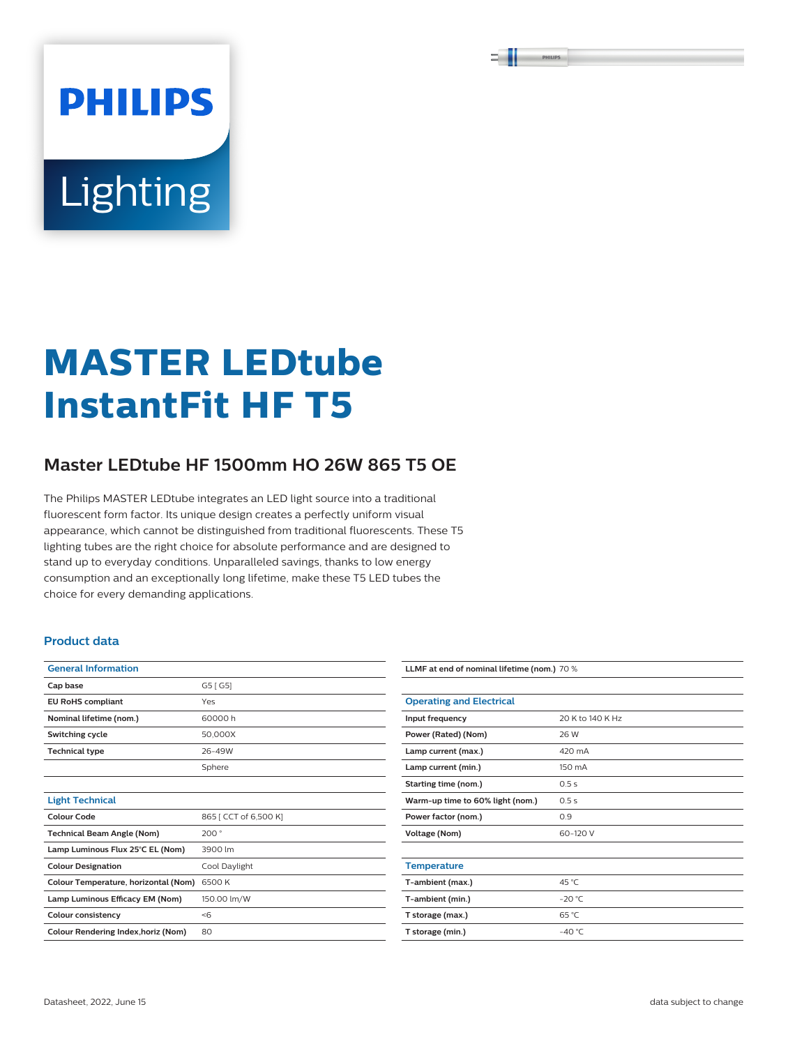PHILIPS

# **PHILIPS Lighting**

# **MASTER LEDtube InstantFit HF T5**

### **Master LEDtube HF 1500mm HO 26W 865 T5 OE**

The Philips MASTER LEDtube integrates an LED light source into a traditional fluorescent form factor. Its unique design creates a perfectly uniform visual appearance, which cannot be distinguished from traditional fluorescents. These T5 lighting tubes are the right choice for absolute performance and are designed to stand up to everyday conditions. Unparalleled savings, thanks to low energy consumption and an exceptionally long lifetime, make these T5 LED tubes the choice for every demanding applications.

#### **Product data**

| <b>General Information</b>           |                       |
|--------------------------------------|-----------------------|
| Cap base                             | G5 [ G5]              |
| <b>EU RoHS compliant</b>             | Yes                   |
| Nominal lifetime (nom.)              | 60000 h               |
| Switching cycle                      | 50,000X               |
| <b>Technical type</b>                | 26-49W                |
|                                      | Sphere                |
|                                      |                       |
| <b>Light Technical</b>               |                       |
| Colour Code                          | 865   CCT of 6,500 K] |
| <b>Technical Beam Angle (Nom)</b>    | 200°                  |
| Lamp Luminous Flux 25°C EL (Nom)     | 3900 lm               |
| <b>Colour Designation</b>            | Cool Daylight         |
| Colour Temperature, horizontal (Nom) | 6500K                 |
| Lamp Luminous Efficacy EM (Nom)      | 150.00 lm/W           |
| <b>Colour consistency</b>            | $<$ 6                 |
| Colour Rendering Index, horiz (Nom)  | 80                    |

| LLMF at end of nominal lifetime (nom.) 70 % |                  |  |  |  |
|---------------------------------------------|------------------|--|--|--|
|                                             |                  |  |  |  |
| <b>Operating and Electrical</b>             |                  |  |  |  |
| Input frequency                             | 20 K to 140 K Hz |  |  |  |
| Power (Rated) (Nom)                         | 26 W             |  |  |  |
| Lamp current (max.)                         | 420 mA           |  |  |  |
| Lamp current (min.)                         | 150 mA           |  |  |  |
| Starting time (nom.)                        | 0.5s             |  |  |  |
| Warm-up time to 60% light (nom.)            | 0.5s             |  |  |  |
| Power factor (nom.)                         | 0.9              |  |  |  |
| <b>Voltage (Nom)</b>                        | 60-120 V         |  |  |  |
|                                             |                  |  |  |  |
| <b>Temperature</b>                          |                  |  |  |  |
| T-ambient (max.)                            | 45 °C            |  |  |  |
| T-ambient (min.)                            | $-20 °C$         |  |  |  |
| T storage (max.)                            | 65 °C            |  |  |  |
| T storage (min.)                            | $-40 °C$         |  |  |  |
|                                             |                  |  |  |  |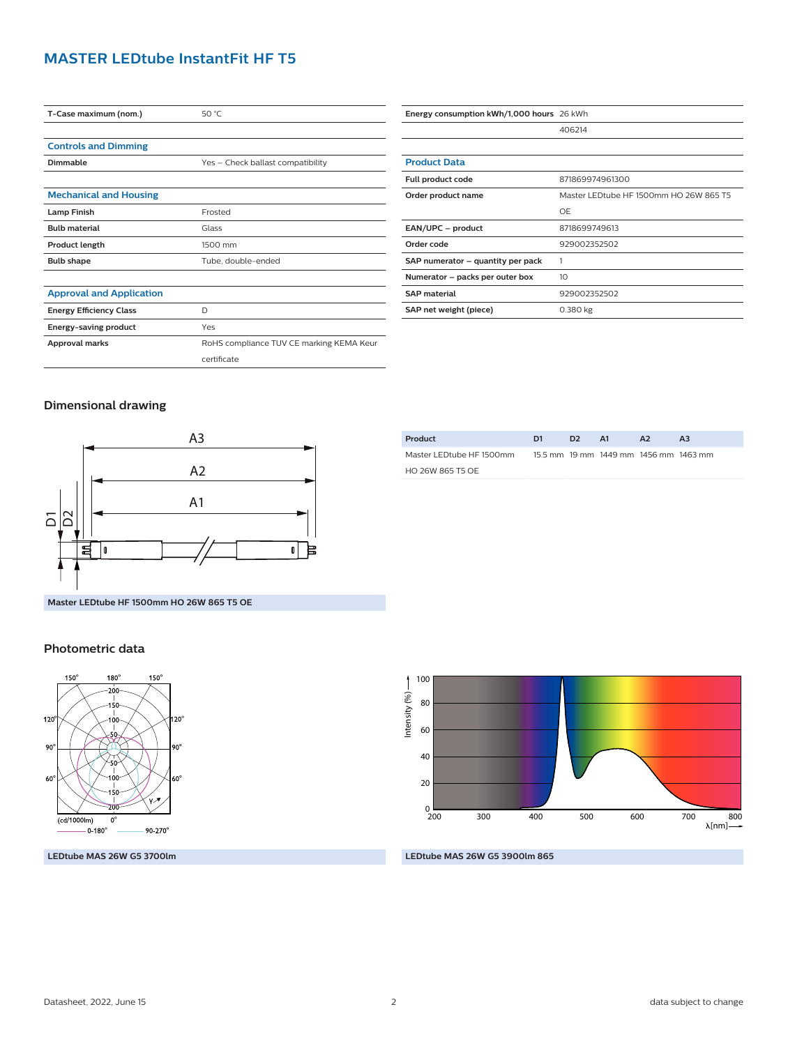#### **MASTER LEDtube InstantFit HF T5**

| T-Case maximum (nom.)           | 50 °C                                    |  |  |  |
|---------------------------------|------------------------------------------|--|--|--|
|                                 |                                          |  |  |  |
| <b>Controls and Dimming</b>     |                                          |  |  |  |
| Dimmable                        | Yes - Check ballast compatibility        |  |  |  |
|                                 |                                          |  |  |  |
| <b>Mechanical and Housing</b>   |                                          |  |  |  |
| <b>Lamp Finish</b>              | Frosted                                  |  |  |  |
| <b>Bulb material</b>            | Glass                                    |  |  |  |
| <b>Product length</b>           | 1500 mm                                  |  |  |  |
| <b>Bulb shape</b>               | Tube, double-ended                       |  |  |  |
|                                 |                                          |  |  |  |
| <b>Approval and Application</b> |                                          |  |  |  |
| <b>Energy Efficiency Class</b>  | D                                        |  |  |  |
| <b>Energy-saving product</b>    | Yes                                      |  |  |  |
| Approval marks                  | RoHS compliance TUV CE marking KEMA Keur |  |  |  |
|                                 | certificate                              |  |  |  |

| Energy consumption kWh/1,000 hours 26 kWh |                                        |  |  |  |
|-------------------------------------------|----------------------------------------|--|--|--|
|                                           | 406214                                 |  |  |  |
|                                           |                                        |  |  |  |
| <b>Product Data</b>                       |                                        |  |  |  |
| Full product code                         | 871869974961300                        |  |  |  |
| Order product name                        | Master LEDtube HF 1500mm HO 26W 865 T5 |  |  |  |
|                                           | OF                                     |  |  |  |
| EAN/UPC - product                         | 8718699749613                          |  |  |  |
| Order code                                | 929002352502                           |  |  |  |
| SAP numerator - quantity per pack         | 1                                      |  |  |  |
| Numerator - packs per outer box           | 10                                     |  |  |  |
| <b>SAP material</b>                       | 929002352502                           |  |  |  |
| SAP net weight (piece)                    | 0.380 kg                               |  |  |  |

#### **Dimensional drawing**



| Product                  | D1 | ּכּח | <b>A1</b>                             | A <sub>2</sub> | A3 |  |
|--------------------------|----|------|---------------------------------------|----------------|----|--|
| Master LEDtube HF 1500mm |    |      | 15.5 mm 19 mm 1449 mm 1456 mm 1463 mm |                |    |  |
| HO 26W 865 T5 OF         |    |      |                                       |                |    |  |
|                          |    |      |                                       |                |    |  |

## **Photometric data**



**LEDtube MAS 26W G5 3700lm**



#### **LEDtube MAS 26W G5 3900lm 865**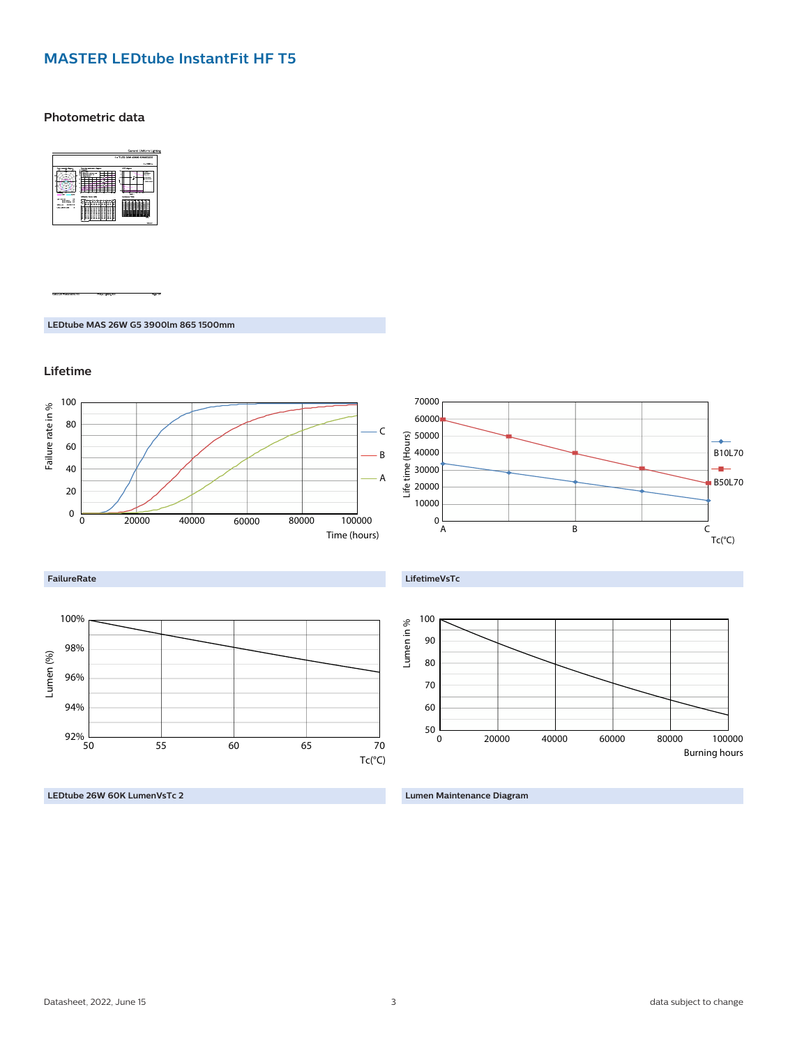#### **MASTER LEDtube InstantFit HF T5**

**Photometric data**



**LEDtube MAS 26W G5 3900lm 865 1500mm**

**Lifetime**